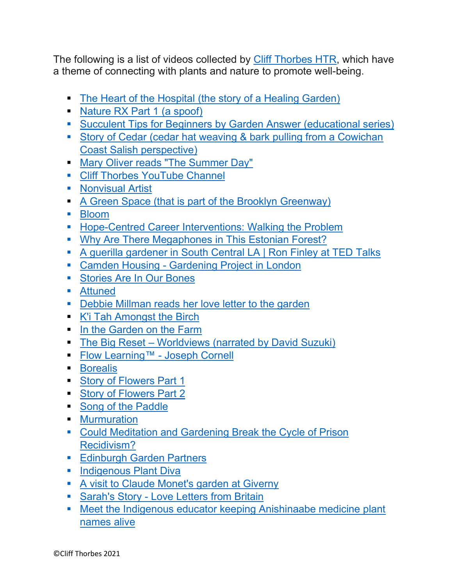The following is a list of videos collected by Cliff Thorbes HTR, which have a theme of connecting with plants and nature to promote well-being.

- The Heart of the Hospital (the story of a Healing Garden)
- Nature RX Part 1 (a spoof)
- Succulent Tips for Beginners by Garden Answer (educational series)
- Story of Cedar (cedar hat weaving & bark pulling from a Cowichan Coast Salish perspective)
- Mary Oliver reads "The Summer Day"
- **EXECUTE Thorbes YouTube Channel**
- Nonvisual Artist
- A Green Space (that is part of the Brooklyn Greenway)
- Bloom
- Hope-Centred Career Interventions: Walking the Problem
- Why Are There Megaphones in This Estonian Forest?
- A querilla gardener in South Central LA | Ron Finley at TED Talks
- Camden Housing Gardening Project in London
- Stories Are In Our Bones
- Attuned
- **Debbie Millman reads her love letter to the garden**
- K'i Tah Amongst the Birch
- In the Garden on the Farm
- The Big Reset Worldviews (narrated by David Suzuki)
- Flow Learning™ Joseph Cornell
- Borealis
- Story of Flowers Part 1
- Story of Flowers Part 2
- Song of the Paddle
- Murmuration
- Could Meditation and Gardening Break the Cycle of Prison Recidivism?
- Edinburgh Garden Partners
- **■** Indigenous Plant Diva
- A visit to Claude Monet's garden at Giverny
- **E** Sarah's Story Love Letters from Britain
- Meet the Indigenous educator keeping Anishinaabe medicine plant names alive